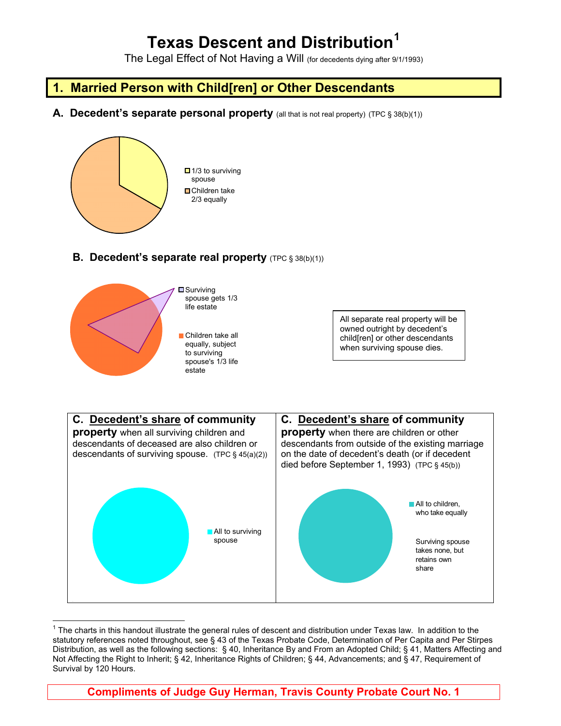# **Texas Descent and Distribution[1](#page-0-0)**

The Legal Effect of Not Having a Will (for decedents dying after 9/1/1993)

## **1. Married Person with Child[ren] or Other Descendants**

**A. Decedent's separate personal property** (all that is not real property) (TPC § 38(b)(1))



### **B. Decedent's separate real property** (TPC § 38(b)(1))



All separate real property will be owned outright by decedent's child[ren] or other descendants when surviving spouse dies.



<span id="page-0-0"></span> $\overline{a}$  $1$  The charts in this handout illustrate the general rules of descent and distribution under Texas law. In addition to the statutory references noted throughout, see § 43 of the Texas Probate Code, Determination of Per Capita and Per Stirpes Distribution, as well as the following sections: § 40, Inheritance By and From an Adopted Child; § 41, Matters Affecting and Not Affecting the Right to Inherit; § 42, Inheritance Rights of Children; § 44, Advancements; and § 47, Requirement of Survival by 120 Hours.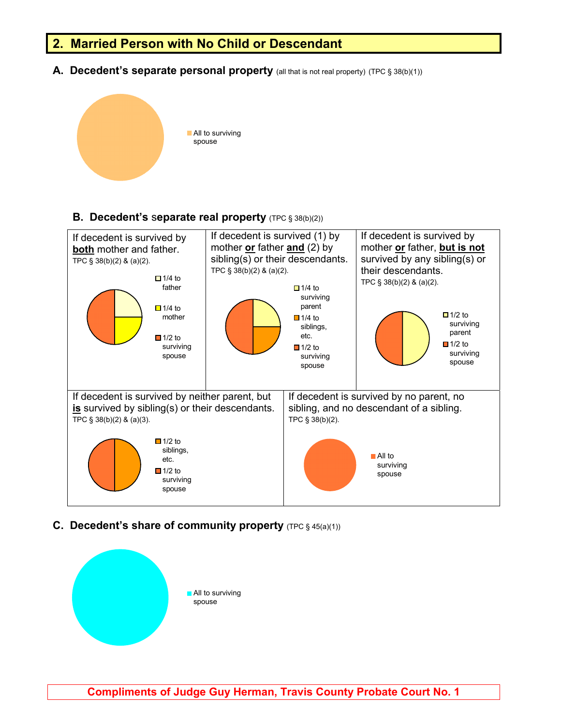### **2. Married Person with No Child or Descendant**

A. Decedent's separate personal property (all that is not real property) (TPC § 38(b)(1))



#### **B.** Decedent's separate real property (TPC § 38(b)(2))



**C. Decedent's share of community property** (TPC § 45(a)(1))



**Compliments of Judge Guy Herman, Travis County Probate Court No. 1**